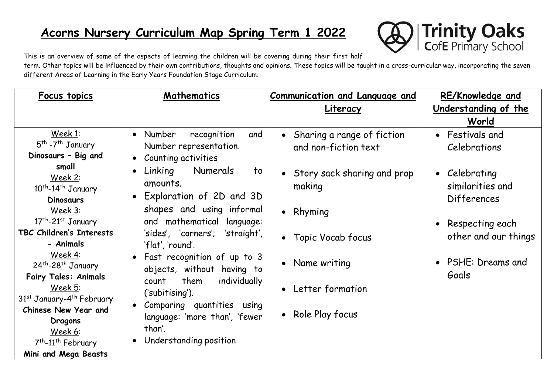# **Acorns Nursery Curriculum Map Spring Term 1 2022**



This is an overview of some of the aspects of learning the children will be covering during their first half

term. Other topics will be influenced by their own contributions, thoughts and opinions. These topics will be taught in a cross-curricular way, incorporating the seven different Areas of Learning in the Early Years Foundation Stage Curriculum.

| Focus topics                                                   | Mathematics                                                 | Communication and Language and | <b>RE/Knowledge and</b> |
|----------------------------------------------------------------|-------------------------------------------------------------|--------------------------------|-------------------------|
|                                                                |                                                             | Literacy                       | Understanding of the    |
|                                                                |                                                             |                                | World                   |
| Week 1:                                                        | • Number<br>recognition<br>and                              | • Sharing a range of fiction   | • Festivals and         |
| 5 <sup>th</sup> -7 <sup>th</sup> January                       | Number representation.                                      | and non-fiction text           | Celebrations            |
| Dinosaurs - Big and                                            | • Counting activities                                       |                                |                         |
| small                                                          | $\bullet$ Linking<br>Numerals<br>to                         | • Story sack sharing and prop  | • Celebrating           |
| Week 2:                                                        | amounts.                                                    | making                         | similarities and        |
| 10 <sup>th</sup> -14 <sup>th</sup> January<br><b>Dinosaurs</b> | • Exploration of 2D and 3D                                  |                                | <b>Differences</b>      |
| Week 3:                                                        | shapes and using informal                                   |                                |                         |
| $17th - 21st$ January                                          | and mathematical language:                                  | • Rhyming                      |                         |
| TBC Children's Interests                                       | 'sides', 'corners'; 'straight',                             |                                | • Respecting each       |
| - Animals                                                      | 'flat', 'round'.                                            | • Topic Vocab focus            | other and our things    |
| Week 4:                                                        |                                                             |                                |                         |
| 24 <sup>th</sup> -28 <sup>th</sup> January                     | • Fast recognition of up to 3<br>objects, without having to | • Name writing                 | • PSHE: Dreams and      |
| <b>Fairy Tales: Animals</b>                                    | them<br>individually<br>count                               |                                | Goals                   |
| Week 5:                                                        |                                                             | • Letter formation             |                         |
| 31 <sup>st</sup> January-4 <sup>th</sup> February              | ('subitising').                                             |                                |                         |
| Chinese New Year and                                           | • Comparing quantities using                                | • Role Play focus              |                         |
| Dragons                                                        | language: 'more than', 'fewer                               |                                |                         |
| Week 6:                                                        | than'.                                                      |                                |                         |
| 7 <sup>th</sup> -11 <sup>th</sup> February                     | • Understanding position                                    |                                |                         |
| Mini and Mega Beasts                                           |                                                             |                                |                         |